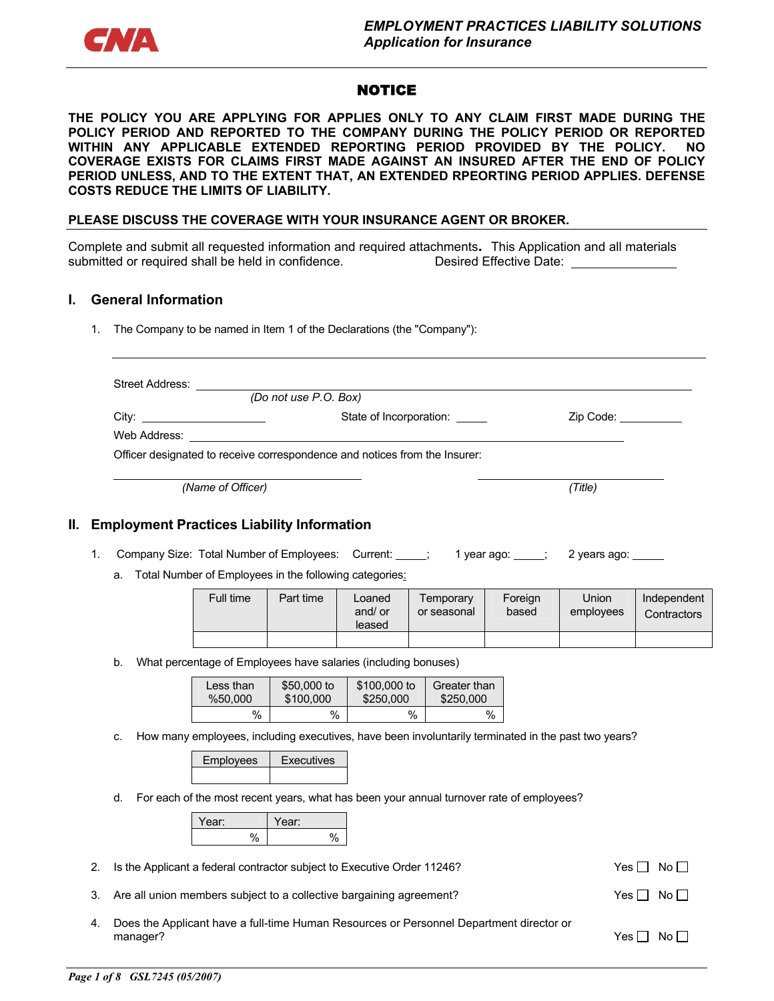

# **NOTICE**

**THE POLICY YOU ARE APPLYING FOR APPLIES ONLY TO ANY CLAIM FIRST MADE DURING THE POLICY PERIOD AND REPORTED TO THE COMPANY DURING THE POLICY PERIOD OR REPORTED WITHIN ANY APPLICABLE EXTENDED REPORTING PERIOD PROVIDED BY THE POLICY. NO COVERAGE EXISTS FOR CLAIMS FIRST MADE AGAINST AN INSURED AFTER THE END OF POLICY PERIOD UNLESS, AND TO THE EXTENT THAT, AN EXTENDED RPEORTING PERIOD APPLIES. DEFENSE COSTS REDUCE THE LIMITS OF LIABILITY.** 

#### **PLEASE DISCUSS THE COVERAGE WITH YOUR INSURANCE AGENT OR BROKER.**

Complete and submit all requested information and required attachments**.** This Application and all materials submitted or required shall be held in confidence. Desired Effective Date:

#### **I. General Information**

1. The Company to be named in Item 1 of the Declarations (the "Company"):

| Street Address: |                                                                            |           |
|-----------------|----------------------------------------------------------------------------|-----------|
|                 | (Do not use P.O. Box)                                                      |           |
|                 | State of Incorporation:                                                    | Zip Code: |
|                 |                                                                            |           |
|                 | Officer designated to receive correspondence and notices from the Insurer: |           |
|                 |                                                                            |           |
|                 | (Name of Officer)                                                          | (Title)   |

#### **II. Employment Practices Liability Information**

- 1. Company Size: Total Number of Employees: Current: 1 year ago: 1 year ago: 2 years ago: 1 2
	- a. Total Number of Employees in the following categories:

| Full time | Part time | Loaned<br>and/ or<br>leased | Temporarv<br>or seasonal | Foreign<br>based | Union<br>employees | Independent<br>Contractors |
|-----------|-----------|-----------------------------|--------------------------|------------------|--------------------|----------------------------|
|           |           |                             |                          |                  |                    |                            |

b. What percentage of Employees have salaries (including bonuses)

| Less than | \$50,000 to | \$100,000 to | Greater than |
|-----------|-------------|--------------|--------------|
| %50.000   | \$100,000   | \$250,000    | \$250,000    |
| $\%$      | %           | %            | %            |

c. How many employees, including executives, have been involuntarily terminated in the past two years?

| Employees | Fxecutives |
|-----------|------------|
|           |            |

d. For each of the most recent years, what has been your annual turnover rate of employees?

| ear: | ear: |  |
|------|------|--|
|      |      |  |

- 2. Is the Applicant a federal contractor subject to Executive Order 11246?  $Yes \Box No \Box$
- 3. Are all union members subject to a collective bargaining agreement?  $Yes \Box No \Box$
- 4. Does the Applicant have a full-time Human Resources or Personnel Department director or manager?  $Y$ es  $\Box$  No  $\Box$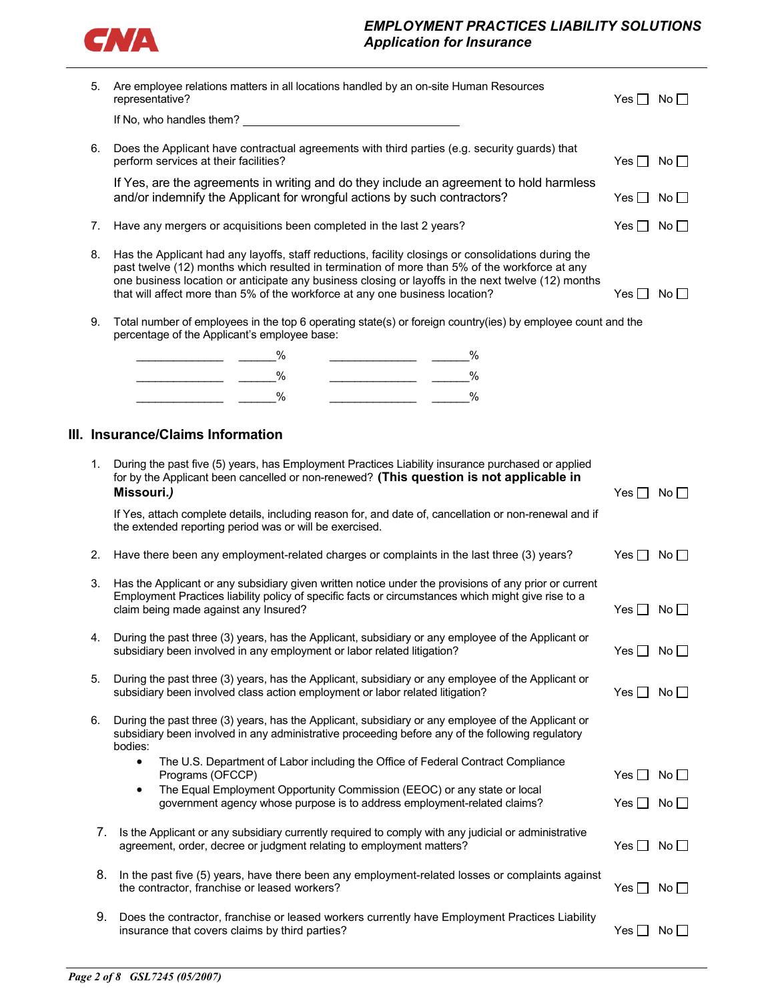

# *EMPLOYMENT PRACTICES LIABILITY SOLUTIONS Application for Insurance*

| Are employee relations matters in all locations handled by an on-site Human Resources<br>5.<br>representative? |    |                                                                                                                                                                                                                                                                                                                                                                                            |                      | $Yes \Box No \Box$                   |
|----------------------------------------------------------------------------------------------------------------|----|--------------------------------------------------------------------------------------------------------------------------------------------------------------------------------------------------------------------------------------------------------------------------------------------------------------------------------------------------------------------------------------------|----------------------|--------------------------------------|
|                                                                                                                |    |                                                                                                                                                                                                                                                                                                                                                                                            |                      |                                      |
|                                                                                                                | 6. | Does the Applicant have contractual agreements with third parties (e.g. security guards) that<br>perform services at their facilities?                                                                                                                                                                                                                                                     | Yes $\Box$ No $\Box$ |                                      |
|                                                                                                                |    | If Yes, are the agreements in writing and do they include an agreement to hold harmless<br>and/or indemnify the Applicant for wrongful actions by such contractors?                                                                                                                                                                                                                        | Yes $\Box$ No $\Box$ |                                      |
|                                                                                                                | 7. | Have any mergers or acquisitions been completed in the last 2 years?                                                                                                                                                                                                                                                                                                                       | Yes $\Box$ No $\Box$ |                                      |
|                                                                                                                | 8. | Has the Applicant had any layoffs, staff reductions, facility closings or consolidations during the<br>past twelve (12) months which resulted in termination of more than 5% of the workforce at any<br>one business location or anticipate any business closing or layoffs in the next twelve (12) months<br>that will affect more than 5% of the workforce at any one business location? | Yes $\Box$           | No <sub>1</sub>                      |
|                                                                                                                | 9. | Total number of employees in the top 6 operating state(s) or foreign country(ies) by employee count and the<br>percentage of the Applicant's employee base:                                                                                                                                                                                                                                |                      |                                      |
|                                                                                                                |    | $\%$<br>$\overline{\phantom{a}}$ $\overline{\phantom{a}}$ $\overline{\phantom{a}}$ $\overline{\phantom{a}}$ $\overline{\phantom{a}}$ $\overline{\phantom{a}}$ $\overline{\phantom{a}}$                                                                                                                                                                                                     |                      |                                      |
|                                                                                                                |    | $\%$<br>$\%$                                                                                                                                                                                                                                                                                                                                                                               |                      |                                      |
|                                                                                                                |    | $\%$<br>$\%$                                                                                                                                                                                                                                                                                                                                                                               |                      |                                      |
|                                                                                                                |    | III. Insurance/Claims Information                                                                                                                                                                                                                                                                                                                                                          |                      |                                      |
|                                                                                                                |    |                                                                                                                                                                                                                                                                                                                                                                                            |                      |                                      |
|                                                                                                                | 1. | During the past five (5) years, has Employment Practices Liability insurance purchased or applied<br>for by the Applicant been cancelled or non-renewed? (This question is not applicable in<br>Missouri.)                                                                                                                                                                                 | Yes $\Box$ No $\Box$ |                                      |
|                                                                                                                |    | If Yes, attach complete details, including reason for, and date of, cancellation or non-renewal and if<br>the extended reporting period was or will be exercised.                                                                                                                                                                                                                          |                      |                                      |
|                                                                                                                | 2. | Have there been any employment-related charges or complaints in the last three (3) years?                                                                                                                                                                                                                                                                                                  | Yes $\Box$ No $\Box$ |                                      |
|                                                                                                                | 3. | Has the Applicant or any subsidiary given written notice under the provisions of any prior or current<br>Employment Practices liability policy of specific facts or circumstances which might give rise to a<br>claim being made against any Insured?                                                                                                                                      | Yes $\Box$ No $\Box$ |                                      |
|                                                                                                                | 4. | During the past three (3) years, has the Applicant, subsidiary or any employee of the Applicant or<br>subsidiary been involved in any employment or labor related litigation?                                                                                                                                                                                                              | Yes $\Box$           | $\overline{\mathsf{No}} \,\bigsqcup$ |
|                                                                                                                | 5. | During the past three (3) years, has the Applicant, subsidiary or any employee of the Applicant or<br>subsidiary been involved class action employment or labor related litigation?                                                                                                                                                                                                        | Yes $\Box$           | No $\Box$                            |
|                                                                                                                | 6. | During the past three (3) years, has the Applicant, subsidiary or any employee of the Applicant or<br>subsidiary been involved in any administrative proceeding before any of the following regulatory<br>bodies:                                                                                                                                                                          |                      |                                      |
|                                                                                                                |    | The U.S. Department of Labor including the Office of Federal Contract Compliance<br>$\bullet$<br>Programs (OFCCP)                                                                                                                                                                                                                                                                          | Yes $\Box$           | No <sub>1</sub>                      |
|                                                                                                                |    | The Equal Employment Opportunity Commission (EEOC) or any state or local<br>٠<br>government agency whose purpose is to address employment-related claims?                                                                                                                                                                                                                                  | Yes $\Box$ No $\Box$ |                                      |
|                                                                                                                | 7. | Is the Applicant or any subsidiary currently required to comply with any judicial or administrative<br>agreement, order, decree or judgment relating to employment matters?                                                                                                                                                                                                                | Yes $\Box$           | No $\Box$                            |
|                                                                                                                | 8. | In the past five (5) years, have there been any employment-related losses or complaints against<br>the contractor, franchise or leased workers?                                                                                                                                                                                                                                            | Yes $\Box$           | No                                   |
|                                                                                                                | 9. | Does the contractor, franchise or leased workers currently have Employment Practices Liability<br>insurance that covers claims by third parties?                                                                                                                                                                                                                                           | Yes $\Box$           | $No$ $\Box$                          |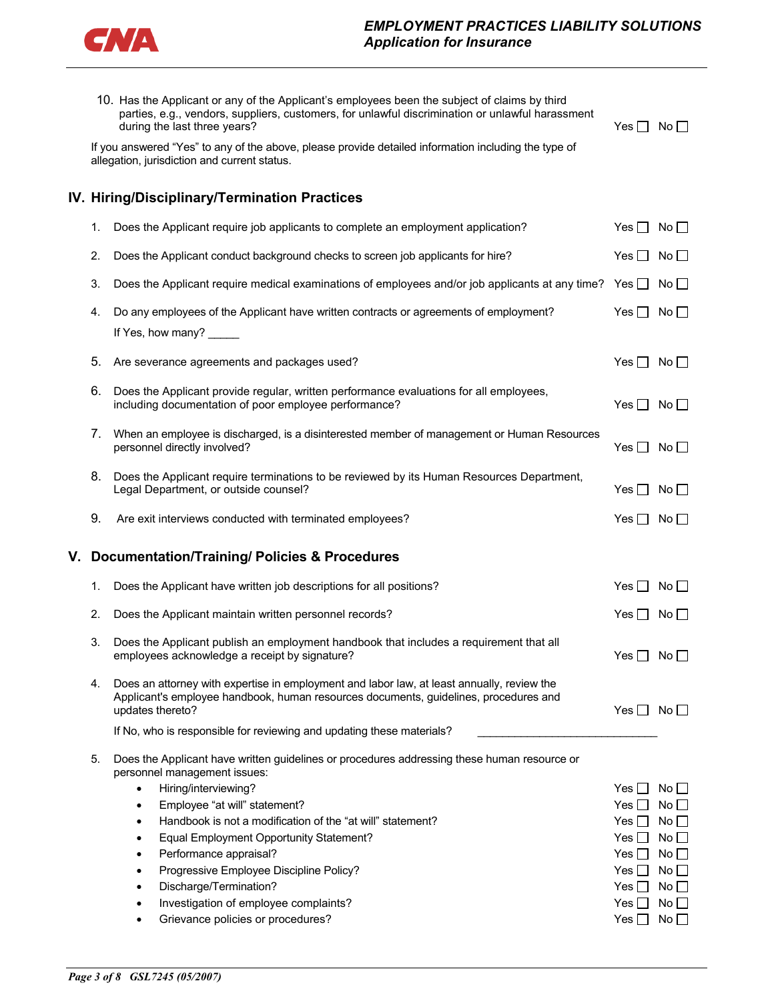

|    |    | 10. Has the Applicant or any of the Applicant's employees been the subject of claims by third<br>parties, e.g., vendors, suppliers, customers, for unlawful discrimination or unlawful harassment<br>during the last three years? | $Yes \mid No \mid$   |                                 |
|----|----|-----------------------------------------------------------------------------------------------------------------------------------------------------------------------------------------------------------------------------------|----------------------|---------------------------------|
|    |    | If you answered "Yes" to any of the above, please provide detailed information including the type of<br>allegation, jurisdiction and current status.                                                                              |                      |                                 |
|    |    | IV. Hiring/Disciplinary/Termination Practices                                                                                                                                                                                     |                      |                                 |
|    | 1. | Does the Applicant require job applicants to complete an employment application?                                                                                                                                                  | Yes $\Box$ No $\Box$ |                                 |
|    | 2. | Does the Applicant conduct background checks to screen job applicants for hire?                                                                                                                                                   | Yes $\Box$ No $\Box$ |                                 |
|    | 3. | Does the Applicant require medical examinations of employees and/or job applicants at any time?                                                                                                                                   | $Yes \Box No \Box$   |                                 |
|    | 4. | Do any employees of the Applicant have written contracts or agreements of employment?                                                                                                                                             | Yes $\Box$ No $\Box$ |                                 |
|    |    | If Yes, how many?                                                                                                                                                                                                                 |                      |                                 |
|    | 5. | Are severance agreements and packages used?                                                                                                                                                                                       | Yes $\Box$ No $\Box$ |                                 |
|    | 6. | Does the Applicant provide regular, written performance evaluations for all employees,<br>including documentation of poor employee performance?                                                                                   | Yes $\Box$           | $No \Box$                       |
|    | 7. | When an employee is discharged, is a disinterested member of management or Human Resources<br>personnel directly involved?                                                                                                        | Yes $\Box$ No $\Box$ |                                 |
|    | 8. | Does the Applicant require terminations to be reviewed by its Human Resources Department,<br>Legal Department, or outside counsel?                                                                                                | Yes $\Box$           | $No \Box$                       |
|    | 9. | Are exit interviews conducted with terminated employees?                                                                                                                                                                          | Yes $\Box$           | No $\square$                    |
| ۷. |    | <b>Documentation/Training/ Policies &amp; Procedures</b>                                                                                                                                                                          |                      |                                 |
|    | 1. | Does the Applicant have written job descriptions for all positions?                                                                                                                                                               | Yes $\Box$ No $\Box$ |                                 |
|    | 2. | Does the Applicant maintain written personnel records?                                                                                                                                                                            | $Yes \Box No \Box$   |                                 |
|    | 3. | Does the Applicant publish an employment handbook that includes a requirement that all<br>employees acknowledge a receipt by signature?                                                                                           | Yes $\square$        | $\overline{\mathsf{No}}$ $\Box$ |
|    | 4. | Does an attorney with expertise in employment and labor law, at least annually, review the<br>Applicant's employee handbook, human resources documents, guidelines, procedures and<br>updates thereto?                            | Yes $\Box$ No $\Box$ |                                 |
|    |    | If No, who is responsible for reviewing and updating these materials?                                                                                                                                                             |                      |                                 |
|    | 5. | Does the Applicant have written guidelines or procedures addressing these human resource or<br>personnel management issues:                                                                                                       |                      |                                 |
|    |    | Hiring/interviewing?<br>$\bullet$                                                                                                                                                                                                 | Yes II               | $No \Box$                       |
|    |    | Employee "at will" statement?<br>٠                                                                                                                                                                                                | $Yes$ $\Box$         | No                              |
|    |    | Handbook is not a modification of the "at will" statement?<br>$\bullet$                                                                                                                                                           | Yes II               | No $\square$                    |
|    |    | Equal Employment Opportunity Statement?<br>٠                                                                                                                                                                                      | Yes II               | No                              |
|    |    | Performance appraisal?<br>٠<br>Progressive Employee Discipline Policy?                                                                                                                                                            | Yes I ∃              | No<br>No $\square$              |
|    |    | ٠<br>Discharge/Termination?<br>$\bullet$                                                                                                                                                                                          | Yes II<br>Yes II     | No <sub>1</sub>                 |
|    |    | Investigation of employee complaints?<br>٠                                                                                                                                                                                        | Yes $\Box$           | No                              |
|    |    |                                                                                                                                                                                                                                   |                      |                                 |
|    |    | Grievance policies or procedures?                                                                                                                                                                                                 | Yes $\Box$           | No $\square$                    |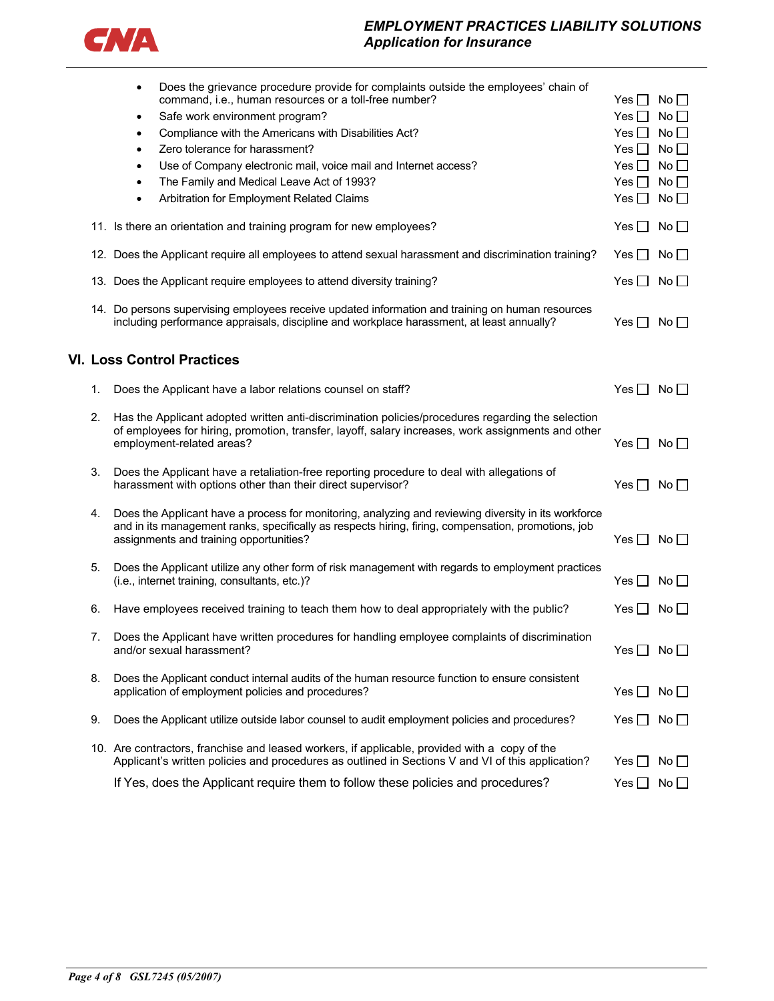

# *EMPLOYMENT PRACTICES LIABILITY SOLUTIONS Application for Insurance*

|    | Does the grievance procedure provide for complaints outside the employees' chain of<br>٠<br>command, i.e., human resources or a toll-free number?<br>Safe work environment program?<br>$\bullet$<br>Compliance with the Americans with Disabilities Act?<br>$\bullet$<br>Zero tolerance for harassment?<br>$\bullet$<br>Use of Company electronic mail, voice mail and Internet access?<br>$\bullet$<br>The Family and Medical Leave Act of 1993?<br>$\bullet$<br>Arbitration for Employment Related Claims<br>$\bullet$ | Yes II<br>Yes $\Box$<br>$Yes \Box$<br>Yes II<br>Yes II<br>Yes $\Box$<br>Yes $\Box$ | $No$ $\Box$<br>No<br>No<br>$No \squareNo \BoxNoNo \Box$ |
|----|--------------------------------------------------------------------------------------------------------------------------------------------------------------------------------------------------------------------------------------------------------------------------------------------------------------------------------------------------------------------------------------------------------------------------------------------------------------------------------------------------------------------------|------------------------------------------------------------------------------------|---------------------------------------------------------|
|    | 11. Is there an orientation and training program for new employees?                                                                                                                                                                                                                                                                                                                                                                                                                                                      | Yes $\Box$ No $\Box$                                                               |                                                         |
|    | 12. Does the Applicant require all employees to attend sexual harassment and discrimination training?                                                                                                                                                                                                                                                                                                                                                                                                                    | Yes $\Box$ No $\Box$                                                               |                                                         |
|    | 13. Does the Applicant require employees to attend diversity training?                                                                                                                                                                                                                                                                                                                                                                                                                                                   | Yes $\Box$                                                                         | $No$ $\Box$                                             |
|    | 14. Do persons supervising employees receive updated information and training on human resources<br>including performance appraisals, discipline and workplace harassment, at least annually?                                                                                                                                                                                                                                                                                                                            | Yes                                                                                | $No \Box$                                               |
|    | <b>VI. Loss Control Practices</b>                                                                                                                                                                                                                                                                                                                                                                                                                                                                                        |                                                                                    |                                                         |
| 1. | Does the Applicant have a labor relations counsel on staff?                                                                                                                                                                                                                                                                                                                                                                                                                                                              | Yes $\Box$ No $\Box$                                                               |                                                         |
| 2. | Has the Applicant adopted written anti-discrimination policies/procedures regarding the selection<br>of employees for hiring, promotion, transfer, layoff, salary increases, work assignments and other<br>employment-related areas?                                                                                                                                                                                                                                                                                     | Yes $\Box$                                                                         | No <sub>1</sub>                                         |
| 3. | Does the Applicant have a retaliation-free reporting procedure to deal with allegations of<br>harassment with options other than their direct supervisor?                                                                                                                                                                                                                                                                                                                                                                | Yes $\Box$ No $\Box$                                                               |                                                         |
| 4. | Does the Applicant have a process for monitoring, analyzing and reviewing diversity in its workforce<br>and in its management ranks, specifically as respects hiring, firing, compensation, promotions, job<br>assignments and training opportunities?                                                                                                                                                                                                                                                                   | $Yes \mid No \mid$                                                                 |                                                         |
| 5. | Does the Applicant utilize any other form of risk management with regards to employment practices<br>(i.e., internet training, consultants, etc.)?                                                                                                                                                                                                                                                                                                                                                                       | Yes $\Box$                                                                         | $No \Box$                                               |
| 6. | Have employees received training to teach them how to deal appropriately with the public?                                                                                                                                                                                                                                                                                                                                                                                                                                | Yes $\Box$                                                                         | No $\Box$                                               |
| 7. | Does the Applicant have written procedures for handling employee complaints of discrimination<br>and/or sexual harassment?                                                                                                                                                                                                                                                                                                                                                                                               | Yes $\Box$ No $\Box$                                                               |                                                         |
| 8. | Does the Applicant conduct internal audits of the human resource function to ensure consistent<br>application of employment policies and procedures?                                                                                                                                                                                                                                                                                                                                                                     | Yes $\Box$ No $\Box$                                                               |                                                         |
| 9. | Does the Applicant utilize outside labor counsel to audit employment policies and procedures?                                                                                                                                                                                                                                                                                                                                                                                                                            | Yes $\Box$ No $\Box$                                                               |                                                         |
|    | 10. Are contractors, franchise and leased workers, if applicable, provided with a copy of the<br>Applicant's written policies and procedures as outlined in Sections V and VI of this application?                                                                                                                                                                                                                                                                                                                       | Yes ∐                                                                              | No                                                      |
|    | If Yes, does the Applicant require them to follow these policies and procedures?                                                                                                                                                                                                                                                                                                                                                                                                                                         | Yes II                                                                             | No                                                      |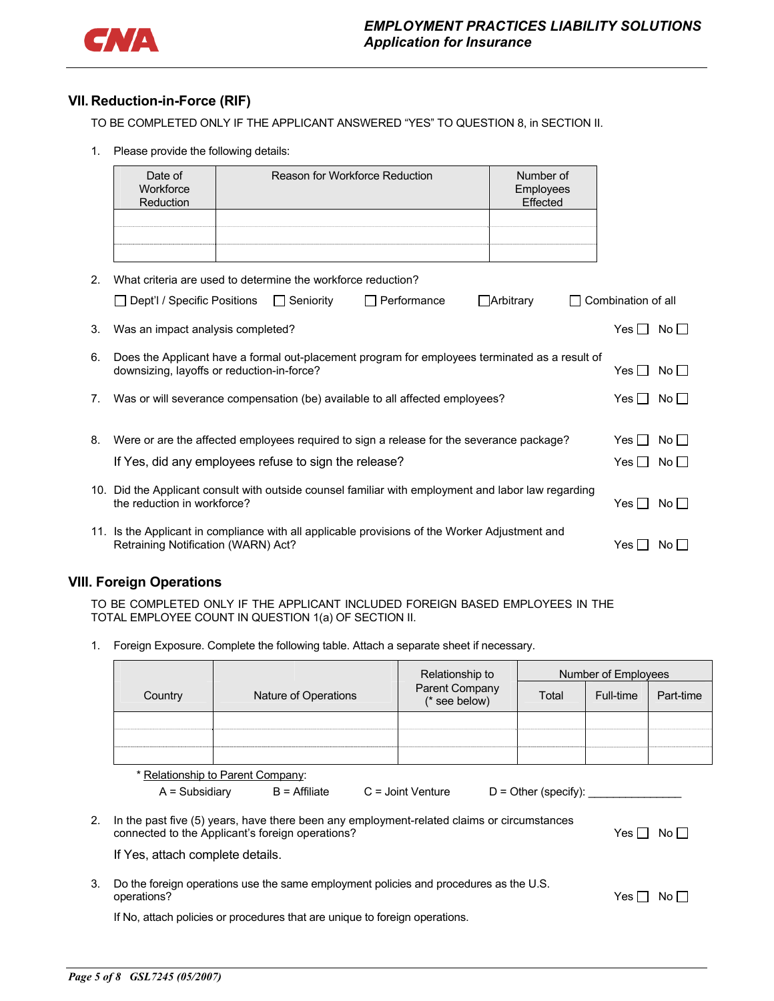

## **VII. Reduction-in-Force (RIF)**

TO BE COMPLETED ONLY IF THE APPLICANT ANSWERED "YES" TO QUESTION 8, in SECTION II.

1. Please provide the following details:

|    | Date of<br>Workforce<br>Reduction   | Reason for Workforce Reduction                                                                                                               | Number of<br>Employees<br>Effected |                    |                 |
|----|-------------------------------------|----------------------------------------------------------------------------------------------------------------------------------------------|------------------------------------|--------------------|-----------------|
|    |                                     |                                                                                                                                              |                                    |                    |                 |
| 2. |                                     | What criteria are used to determine the workforce reduction?                                                                                 |                                    |                    |                 |
|    | $\Box$ Dept'l / Specific Positions  | □ Seniority<br>$\Box$ Performance<br>$\Box$ Arbitrary                                                                                        |                                    | Combination of all |                 |
| 3. | Was an impact analysis completed?   |                                                                                                                                              |                                    | $Yes \Box No \Box$ |                 |
| 6. |                                     | Does the Applicant have a formal out-placement program for employees terminated as a result of<br>downsizing, layoffs or reduction-in-force? |                                    | Yes II             | $No \Box$       |
| 7. |                                     | Was or will severance compensation (be) available to all affected employees?                                                                 |                                    | Yes I I No I I     |                 |
| 8. |                                     | Were or are the affected employees required to sign a release for the severance package?                                                     |                                    | Yes II             | $No \Box$       |
|    |                                     | If Yes, did any employees refuse to sign the release?                                                                                        |                                    | Yes II             | No <sub>1</sub> |
|    | the reduction in workforce?         | 10. Did the Applicant consult with outside counsel familiar with employment and labor law regarding                                          |                                    | Yes II             | No <sub>1</sub> |
|    | Retraining Notification (WARN) Act? | 11. Is the Applicant in compliance with all applicable provisions of the Worker Adjustment and                                               |                                    | Yes $\Box$         | No II           |

### **VIII. Foreign Operations**

TO BE COMPLETED ONLY IF THE APPLICANT INCLUDED FOREIGN BASED EMPLOYEES IN THE TOTAL EMPLOYEE COUNT IN QUESTION 1(a) OF SECTION II.

1. Foreign Exposure. Complete the following table. Attach a separate sheet if necessary.

|    |                                  |                                                                                                                                                | Relationship to                 |                        | Number of Employees |           |
|----|----------------------------------|------------------------------------------------------------------------------------------------------------------------------------------------|---------------------------------|------------------------|---------------------|-----------|
|    | Country                          | Nature of Operations                                                                                                                           | Parent Company<br>(* see below) | Total                  | Full-time           | Part-time |
|    |                                  |                                                                                                                                                |                                 |                        |                     |           |
|    |                                  |                                                                                                                                                |                                 |                        |                     |           |
|    |                                  | * Relationship to Parent Company:                                                                                                              |                                 |                        |                     |           |
|    | A = Subsidiary                   | $B = Affiliate$                                                                                                                                | $C =$ Joint Venture             | $D =$ Other (specify): |                     |           |
| 2. |                                  | In the past five (5) years, have there been any employment-related claims or circumstances<br>connected to the Applicant's foreign operations? |                                 |                        | Yes II              | No II     |
|    | If Yes, attach complete details. |                                                                                                                                                |                                 |                        |                     |           |
| 3. | operations?                      | Do the foreign operations use the same employment policies and procedures as the U.S.                                                          |                                 |                        | Yes II              | No Li     |
|    |                                  | If No, attach policies or procedures that are unique to foreign operations.                                                                    |                                 |                        |                     |           |
|    |                                  |                                                                                                                                                |                                 |                        |                     |           |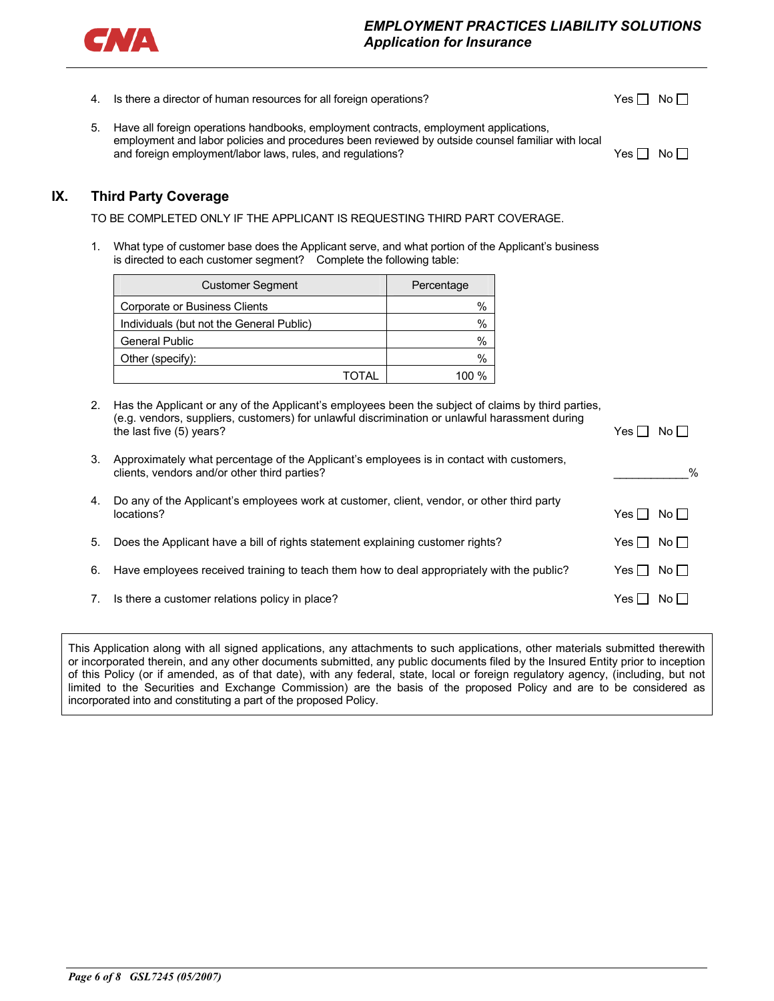

- 4. Is there a director of human resources for all foreign operations?  $Yes \Box No \Box$
- 5. Have all foreign operations handbooks, employment contracts, employment applications, employment and labor policies and procedures been reviewed by outside counsel familiar with local and foreign employment/labor laws, rules, and regulations?  $Yes \Box No \Box$

## **IX. Third Party Coverage**

TO BE COMPLETED ONLY IF THE APPLICANT IS REQUESTING THIRD PART COVERAGE.

1. What type of customer base does the Applicant serve, and what portion of the Applicant's business is directed to each customer segment? Complete the following table:

| <b>Customer Segment</b>                  |       | Percentage |
|------------------------------------------|-------|------------|
| Corporate or Business Clients            |       | %          |
| Individuals (but not the General Public) |       | $\%$       |
| <b>General Public</b>                    |       | $\%$       |
| Other (specify):                         |       | $\%$       |
|                                          | TOTAL | 1በበ %      |

| 2 <sub>1</sub> | Has the Applicant or any of the Applicant's employees been the subject of claims by third parties,<br>(e.g. vendors, suppliers, customers) for unlawful discrimination or unlawful harassment during<br>the last five (5) years? | Yes.<br>No II   |
|----------------|----------------------------------------------------------------------------------------------------------------------------------------------------------------------------------------------------------------------------------|-----------------|
| 3.             | Approximately what percentage of the Applicant's employees is in contact with customers,<br>clients, vendors and/or other third parties?                                                                                         | $\%$            |
| 4.             | Do any of the Applicant's employees work at customer, client, vendor, or other third party<br>locations?                                                                                                                         | Yes II<br>No II |
| 5.             | Does the Applicant have a bill of rights statement explaining customer rights?                                                                                                                                                   | Yes II<br>No II |
| 6.             | Have employees received training to teach them how to deal appropriately with the public?                                                                                                                                        | Yes II<br>No II |
| 7.             | Is there a customer relations policy in place?                                                                                                                                                                                   | Yes I<br>No I   |
|                |                                                                                                                                                                                                                                  |                 |

This Application along with all signed applications, any attachments to such applications, other materials submitted therewith or incorporated therein, and any other documents submitted, any public documents filed by the Insured Entity prior to inception of this Policy (or if amended, as of that date), with any federal, state, local or foreign regulatory agency, (including, but not limited to the Securities and Exchange Commission) are the basis of the proposed Policy and are to be considered as incorporated into and constituting a part of the proposed Policy.

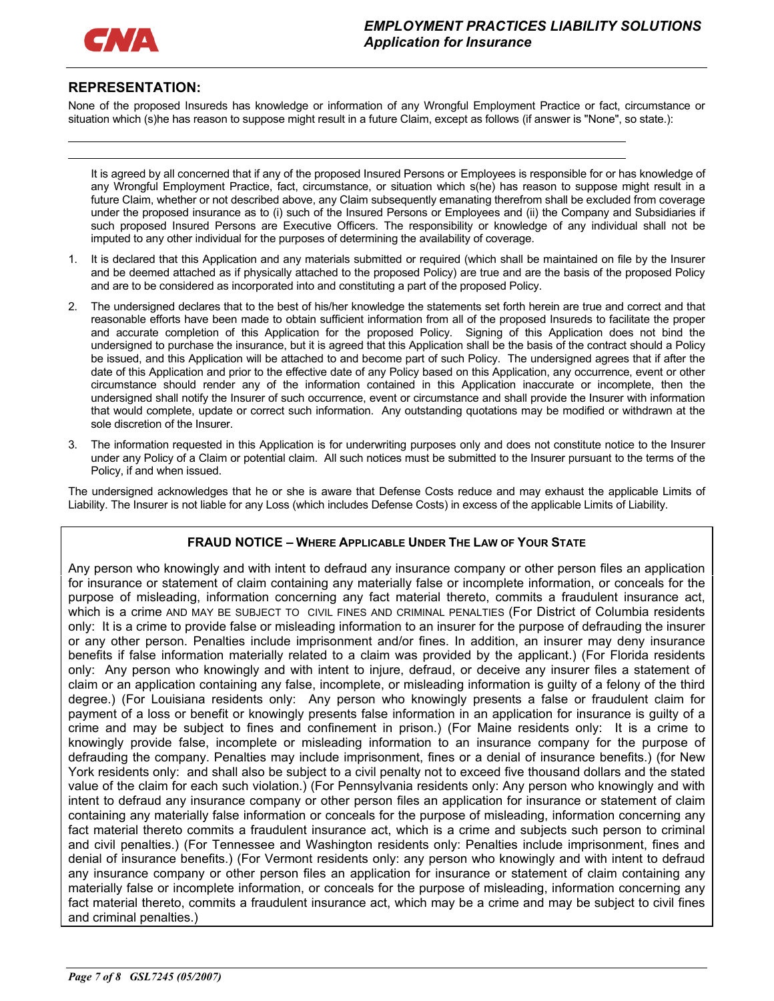

l

## **REPRESENTATION:**

None of the proposed Insureds has knowledge or information of any Wrongful Employment Practice or fact, circumstance or situation which (s)he has reason to suppose might result in a future Claim, except as follows (if answer is "None", so state.):

It is agreed by all concerned that if any of the proposed Insured Persons or Employees is responsible for or has knowledge of any Wrongful Employment Practice, fact, circumstance, or situation which s(he) has reason to suppose might result in a future Claim, whether or not described above, any Claim subsequently emanating therefrom shall be excluded from coverage under the proposed insurance as to (i) such of the Insured Persons or Employees and (ii) the Company and Subsidiaries if such proposed Insured Persons are Executive Officers. The responsibility or knowledge of any individual shall not be imputed to any other individual for the purposes of determining the availability of coverage.

- 1. It is declared that this Application and any materials submitted or required (which shall be maintained on file by the Insurer and be deemed attached as if physically attached to the proposed Policy) are true and are the basis of the proposed Policy and are to be considered as incorporated into and constituting a part of the proposed Policy.
- 2. The undersigned declares that to the best of his/her knowledge the statements set forth herein are true and correct and that reasonable efforts have been made to obtain sufficient information from all of the proposed Insureds to facilitate the proper and accurate completion of this Application for the proposed Policy. Signing of this Application does not bind the undersigned to purchase the insurance, but it is agreed that this Application shall be the basis of the contract should a Policy be issued, and this Application will be attached to and become part of such Policy. The undersigned agrees that if after the date of this Application and prior to the effective date of any Policy based on this Application, any occurrence, event or other circumstance should render any of the information contained in this Application inaccurate or incomplete, then the undersigned shall notify the Insurer of such occurrence, event or circumstance and shall provide the Insurer with information that would complete, update or correct such information. Any outstanding quotations may be modified or withdrawn at the sole discretion of the Insurer.
- 3. The information requested in this Application is for underwriting purposes only and does not constitute notice to the Insurer under any Policy of a Claim or potential claim. All such notices must be submitted to the Insurer pursuant to the terms of the Policy, if and when issued.

The undersigned acknowledges that he or she is aware that Defense Costs reduce and may exhaust the applicable Limits of Liability. The Insurer is not liable for any Loss (which includes Defense Costs) in excess of the applicable Limits of Liability.

### **FRAUD NOTICE – WHERE APPLICABLE UNDER THE LAW OF YOUR STATE**

Any person who knowingly and with intent to defraud any insurance company or other person files an application for insurance or statement of claim containing any materially false or incomplete information, or conceals for the purpose of misleading, information concerning any fact material thereto, commits a fraudulent insurance act, which is a crime AND MAY BE SUBJECT TO CIVIL FINES AND CRIMINAL PENALTIES (For District of Columbia residents only: It is a crime to provide false or misleading information to an insurer for the purpose of defrauding the insurer or any other person. Penalties include imprisonment and/or fines. In addition, an insurer may deny insurance benefits if false information materially related to a claim was provided by the applicant.) (For Florida residents only: Any person who knowingly and with intent to injure, defraud, or deceive any insurer files a statement of claim or an application containing any false, incomplete, or misleading information is guilty of a felony of the third degree.) (For Louisiana residents only: Any person who knowingly presents a false or fraudulent claim for payment of a loss or benefit or knowingly presents false information in an application for insurance is guilty of a crime and may be subject to fines and confinement in prison.) (For Maine residents only: It is a crime to knowingly provide false, incomplete or misleading information to an insurance company for the purpose of defrauding the company. Penalties may include imprisonment, fines or a denial of insurance benefits.) (for New York residents only: and shall also be subject to a civil penalty not to exceed five thousand dollars and the stated value of the claim for each such violation.) (For Pennsylvania residents only: Any person who knowingly and with intent to defraud any insurance company or other person files an application for insurance or statement of claim containing any materially false information or conceals for the purpose of misleading, information concerning any fact material thereto commits a fraudulent insurance act, which is a crime and subjects such person to criminal and civil penalties.) (For Tennessee and Washington residents only: Penalties include imprisonment, fines and denial of insurance benefits.) (For Vermont residents only: any person who knowingly and with intent to defraud any insurance company or other person files an application for insurance or statement of claim containing any materially false or incomplete information, or conceals for the purpose of misleading, information concerning any fact material thereto, commits a fraudulent insurance act, which may be a crime and may be subject to civil fines and criminal penalties.)